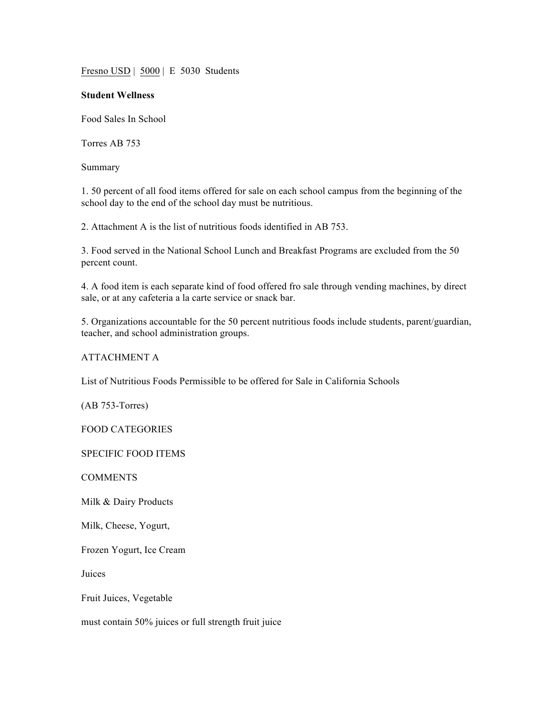Fresno USD | 5000 | E 5030 Students

## **Student Wellness**

Food Sales In School

Torres AB 753

Summary

1. 50 percent of all food items offered for sale on each school campus from the beginning of the school day to the end of the school day must be nutritious.

2. Attachment A is the list of nutritious foods identified in AB 753.

3. Food served in the National School Lunch and Breakfast Programs are excluded from the 50 percent count.

4. A food item is each separate kind of food offered fro sale through vending machines, by direct sale, or at any cafeteria a la carte service or snack bar.

5. Organizations accountable for the 50 percent nutritious foods include students, parent/guardian, teacher, and school administration groups.

## ATTACHMENT A

List of Nutritious Foods Permissible to be offered for Sale in California Schools

(AB 753-Torres)

FOOD CATEGORIES

SPECIFIC FOOD ITEMS

**COMMENTS** 

Milk & Dairy Products

Milk, Cheese, Yogurt,

Frozen Yogurt, Ice Cream

Juices

Fruit Juices, Vegetable

must contain 50% juices or full strength fruit juice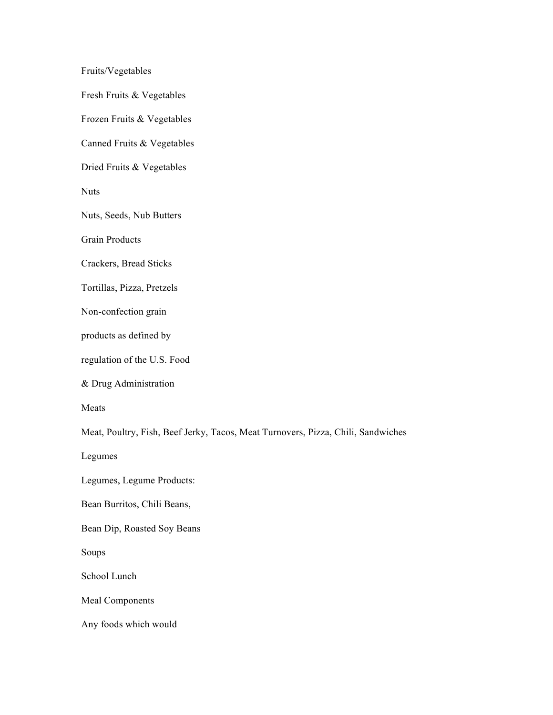Fruits/Vegetables

Fresh Fruits & Vegetables

Frozen Fruits & Vegetables

Canned Fruits & Vegetables

Dried Fruits & Vegetables

**Nuts** 

Nuts, Seeds, Nub Butters

Grain Products

Crackers, Bread Sticks

Tortillas, Pizza, Pretzels

Non-confection grain

products as defined by

regulation of the U.S. Food

& Drug Administration

Meats

Meat, Poultry, Fish, Beef Jerky, Tacos, Meat Turnovers, Pizza, Chili, Sandwiches

Legumes

Legumes, Legume Products:

Bean Burritos, Chili Beans,

Bean Dip, Roasted Soy Beans

Soups

School Lunch

Meal Components

Any foods which would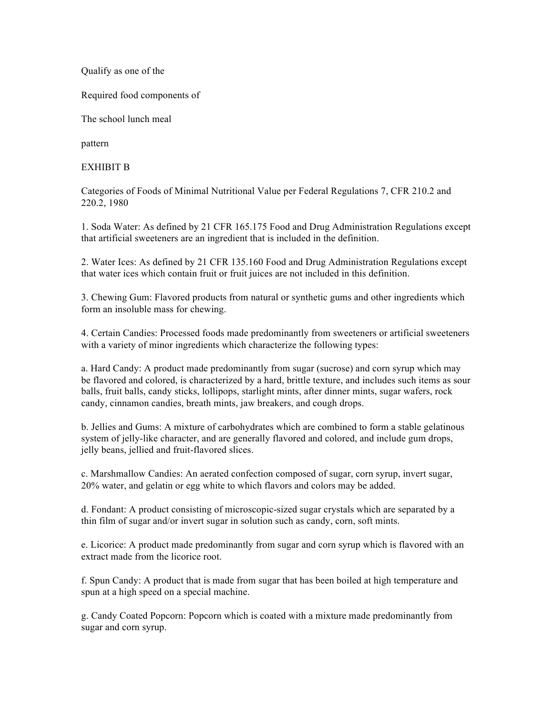Qualify as one of the

Required food components of

The school lunch meal

pattern

## EXHIBIT B

Categories of Foods of Minimal Nutritional Value per Federal Regulations 7, CFR 210.2 and 220.2, 1980

1. Soda Water: As defined by 21 CFR 165.175 Food and Drug Administration Regulations except that artificial sweeteners are an ingredient that is included in the definition.

2. Water Ices: As defined by 21 CFR 135.160 Food and Drug Administration Regulations except that water ices which contain fruit or fruit juices are not included in this definition.

3. Chewing Gum: Flavored products from natural or synthetic gums and other ingredients which form an insoluble mass for chewing.

4. Certain Candies: Processed foods made predominantly from sweeteners or artificial sweeteners with a variety of minor ingredients which characterize the following types:

a. Hard Candy: A product made predominantly from sugar (sucrose) and corn syrup which may be flavored and colored, is characterized by a hard, brittle texture, and includes such items as sour balls, fruit balls, candy sticks, lollipops, starlight mints, after dinner mints, sugar wafers, rock candy, cinnamon candies, breath mints, jaw breakers, and cough drops.

b. Jellies and Gums: A mixture of carbohydrates which are combined to form a stable gelatinous system of jelly-like character, and are generally flavored and colored, and include gum drops, jelly beans, jellied and fruit-flavored slices.

c. Marshmallow Candies: An aerated confection composed of sugar, corn syrup, invert sugar, 20% water, and gelatin or egg white to which flavors and colors may be added.

d. Fondant: A product consisting of microscopic-sized sugar crystals which are separated by a thin film of sugar and/or invert sugar in solution such as candy, corn, soft mints.

e. Licorice: A product made predominantly from sugar and corn syrup which is flavored with an extract made from the licorice root.

f. Spun Candy: A product that is made from sugar that has been boiled at high temperature and spun at a high speed on a special machine.

g. Candy Coated Popcorn: Popcorn which is coated with a mixture made predominantly from sugar and corn syrup.